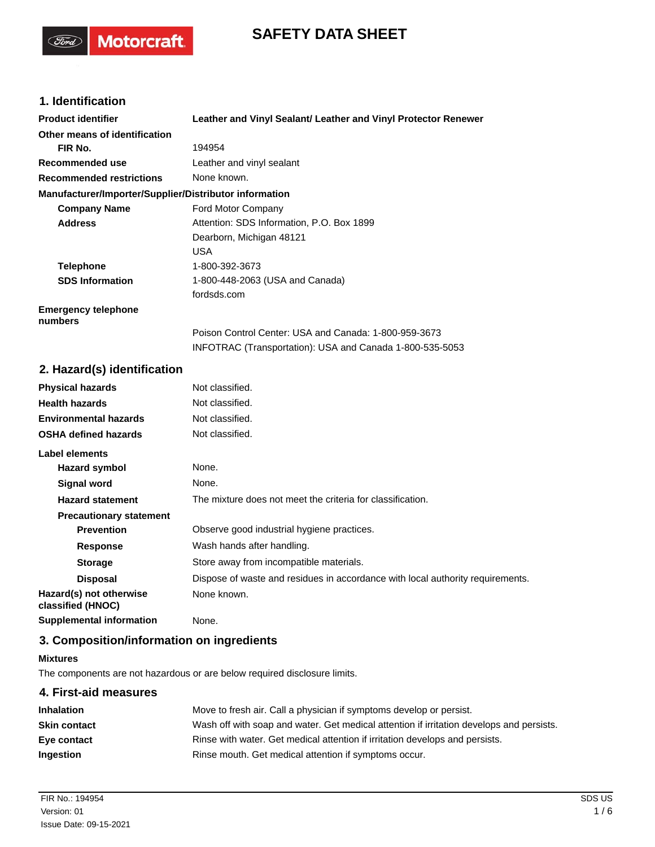# **SAFETY DATA SHEET**

## **1. Identification**

(Tord)

**Motorcraft** 

| <b>Product identifier</b>                              | Leather and Vinyl Sealant/ Leather and Vinyl Protector Renewer |
|--------------------------------------------------------|----------------------------------------------------------------|
| Other means of identification                          |                                                                |
| FIR No.                                                | 194954                                                         |
| Recommended use                                        | Leather and vinyl sealant                                      |
| <b>Recommended restrictions</b>                        | None known.                                                    |
| Manufacturer/Importer/Supplier/Distributor information |                                                                |
| <b>Company Name</b>                                    | Ford Motor Company                                             |
| <b>Address</b>                                         | Attention: SDS Information, P.O. Box 1899                      |
|                                                        | Dearborn, Michigan 48121                                       |
|                                                        | <b>USA</b>                                                     |
| <b>Telephone</b>                                       | 1-800-392-3673                                                 |
| <b>SDS Information</b>                                 | 1-800-448-2063 (USA and Canada)                                |
|                                                        | fordsds.com                                                    |
| <b>Emergency telephone</b><br>numbers                  |                                                                |
|                                                        | Poison Control Center: USA and Canada: 1-800-959-3673          |
|                                                        | INFOTRAC (Transportation): USA and Canada 1-800-535-5053       |
| 2. Hazard(s) identification                            |                                                                |
| <b>Physical hazards</b>                                | Not classified.                                                |

| <b>Physical hazards</b>                      | Not classified.                                                                |
|----------------------------------------------|--------------------------------------------------------------------------------|
| <b>Health hazards</b>                        | Not classified.                                                                |
| <b>Environmental hazards</b>                 | Not classified.                                                                |
| <b>OSHA defined hazards</b>                  | Not classified.                                                                |
| Label elements                               |                                                                                |
| Hazard symbol                                | None.                                                                          |
| Signal word                                  | None.                                                                          |
| <b>Hazard statement</b>                      | The mixture does not meet the criteria for classification.                     |
| <b>Precautionary statement</b>               |                                                                                |
| <b>Prevention</b>                            | Observe good industrial hygiene practices.                                     |
| <b>Response</b>                              | Wash hands after handling.                                                     |
| <b>Storage</b>                               | Store away from incompatible materials.                                        |
| <b>Disposal</b>                              | Dispose of waste and residues in accordance with local authority requirements. |
| Hazard(s) not otherwise<br>classified (HNOC) | None known.                                                                    |
| <b>Supplemental information</b>              | None.                                                                          |

## **3. Composition/information on ingredients**

#### **Mixtures**

The components are not hazardous or are below required disclosure limits.

## **4. First-aid measures Inhalation** Move to fresh air. Call a physician if symptoms develop or persist. **Skin contact** Wash off with soap and water. Get medical attention if irritation develops and persists. **Eye contact** Rinse with water. Get medical attention if irritation develops and persists. **Ingestion** Rinse mouth. Get medical attention if symptoms occur.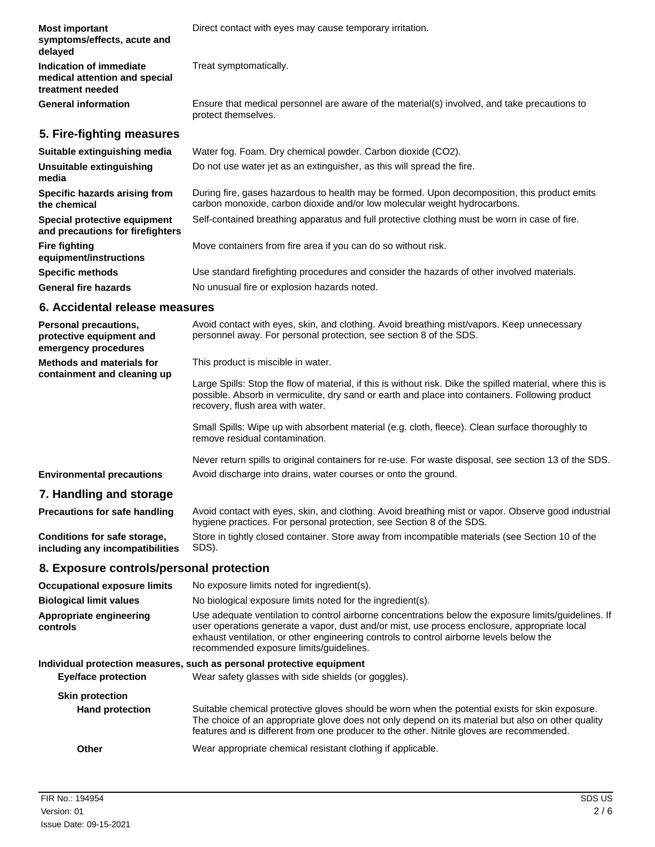| <b>Most important</b><br>symptoms/effects, acute and<br>delayed              | Direct contact with eyes may cause temporary irritation.                                                                                                                                                                                          |
|------------------------------------------------------------------------------|---------------------------------------------------------------------------------------------------------------------------------------------------------------------------------------------------------------------------------------------------|
| Indication of immediate<br>medical attention and special<br>treatment needed | Treat symptomatically.                                                                                                                                                                                                                            |
| <b>General information</b>                                                   | Ensure that medical personnel are aware of the material(s) involved, and take precautions to<br>protect themselves.                                                                                                                               |
| 5. Fire-fighting measures                                                    |                                                                                                                                                                                                                                                   |
| Suitable extinguishing media                                                 | Water fog. Foam. Dry chemical powder. Carbon dioxide (CO2).                                                                                                                                                                                       |
| <b>Unsuitable extinguishing</b><br>media                                     | Do not use water jet as an extinguisher, as this will spread the fire.                                                                                                                                                                            |
| Specific hazards arising from<br>the chemical                                | During fire, gases hazardous to health may be formed. Upon decomposition, this product emits<br>carbon monoxide, carbon dioxide and/or low molecular weight hydrocarbons.                                                                         |
| Special protective equipment<br>and precautions for firefighters             | Self-contained breathing apparatus and full protective clothing must be worn in case of fire.                                                                                                                                                     |
| <b>Fire fighting</b><br>equipment/instructions                               | Move containers from fire area if you can do so without risk.                                                                                                                                                                                     |
| <b>Specific methods</b>                                                      | Use standard firefighting procedures and consider the hazards of other involved materials.                                                                                                                                                        |
| <b>General fire hazards</b>                                                  | No unusual fire or explosion hazards noted.                                                                                                                                                                                                       |
| 6. Accidental release measures                                               |                                                                                                                                                                                                                                                   |
| Personal precautions,<br>protective equipment and<br>emergency procedures    | Avoid contact with eyes, skin, and clothing. Avoid breathing mist/vapors. Keep unnecessary<br>personnel away. For personal protection, see section 8 of the SDS.                                                                                  |
| <b>Methods and materials for</b>                                             | This product is miscible in water.                                                                                                                                                                                                                |
| containment and cleaning up                                                  | Large Spills: Stop the flow of material, if this is without risk. Dike the spilled material, where this is<br>possible. Absorb in vermiculite, dry sand or earth and place into containers. Following product<br>recovery, flush area with water. |
|                                                                              | Small Spills: Wipe up with absorbent material (e.g. cloth, fleece). Clean surface thoroughly to<br>remove residual contamination.                                                                                                                 |
|                                                                              | Never return spills to original containers for re-use. For waste disposal, see section 13 of the SDS.                                                                                                                                             |
| <b>Environmental precautions</b>                                             | Avoid discharge into drains, water courses or onto the ground.                                                                                                                                                                                    |
| 7. Handling and storage                                                      |                                                                                                                                                                                                                                                   |
| <b>Precautions for safe handling</b>                                         | Avoid contact with eyes, skin, and clothing. Avoid breathing mist or vapor. Observe good industrial                                                                                                                                               |

**Conditions for safe storage, including any incompatibilities**

hygiene practices. For personal protection, see Section 8 of the SDS. Store in tightly closed container. Store away from incompatible materials (see Section 10 of the SDS).

### **8. Exposure controls/personal protection**

| <b>Occupational exposure limits</b> | No exposure limits noted for ingredient(s).                                                                                                                                                                                                                                                                                                |  |
|-------------------------------------|--------------------------------------------------------------------------------------------------------------------------------------------------------------------------------------------------------------------------------------------------------------------------------------------------------------------------------------------|--|
| <b>Biological limit values</b>      | No biological exposure limits noted for the ingredient(s).                                                                                                                                                                                                                                                                                 |  |
| Appropriate engineering<br>controls | Use adequate ventilation to control airborne concentrations below the exposure limits/quidelines. If<br>user operations generate a vapor, dust and/or mist, use process enclosure, appropriate local<br>exhaust ventilation, or other engineering controls to control airborne levels below the<br>recommended exposure limits/quidelines. |  |
|                                     | Individual protection measures, such as personal protective equipment                                                                                                                                                                                                                                                                      |  |
| <b>Eye/face protection</b>          | Wear safety glasses with side shields (or goggles).                                                                                                                                                                                                                                                                                        |  |
| <b>Skin protection</b>              |                                                                                                                                                                                                                                                                                                                                            |  |
| <b>Hand protection</b>              | Suitable chemical protective gloves should be worn when the potential exists for skin exposure.<br>The choice of an appropriate glove does not only depend on its material but also on other quality<br>features and is different from one producer to the other. Nitrile gloves are recommended.                                          |  |
| Other                               | Wear appropriate chemical resistant clothing if applicable.                                                                                                                                                                                                                                                                                |  |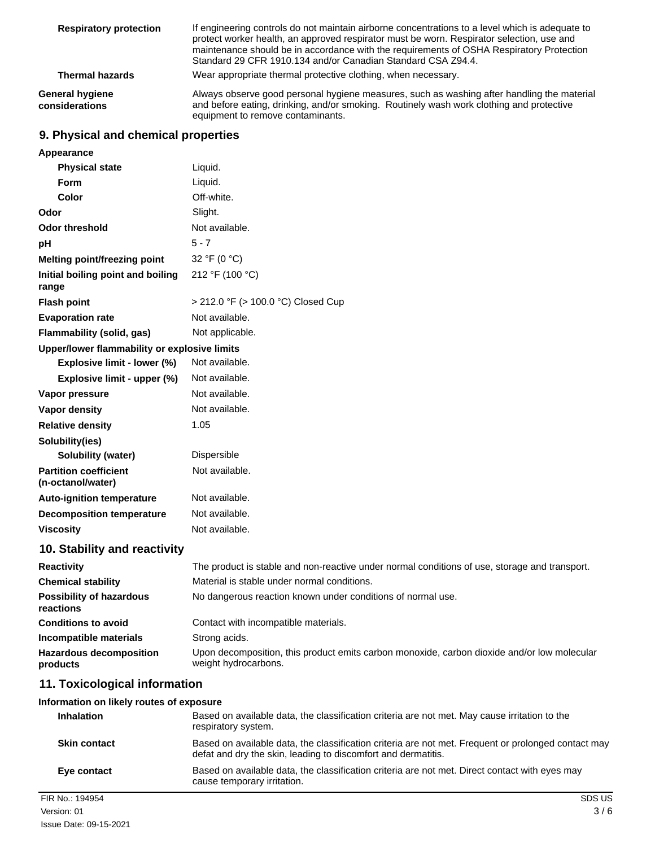| <b>Respiratory protection</b>     | If engineering controls do not maintain airborne concentrations to a level which is adequate to<br>protect worker health, an approved respirator must be worn. Respirator selection, use and<br>maintenance should be in accordance with the requirements of OSHA Respiratory Protection<br>Standard 29 CFR 1910.134 and/or Canadian Standard CSA Z94.4. |
|-----------------------------------|----------------------------------------------------------------------------------------------------------------------------------------------------------------------------------------------------------------------------------------------------------------------------------------------------------------------------------------------------------|
| <b>Thermal hazards</b>            | Wear appropriate thermal protective clothing, when necessary.                                                                                                                                                                                                                                                                                            |
| General hygiene<br>considerations | Always observe good personal hygiene measures, such as washing after handling the material<br>and before eating, drinking, and/or smoking. Routinely wash work clothing and protective<br>equipment to remove contaminants.                                                                                                                              |

## **9. Physical and chemical properties**

| Appearance                                        |                                                                                                                     |
|---------------------------------------------------|---------------------------------------------------------------------------------------------------------------------|
| <b>Physical state</b>                             | Liquid.                                                                                                             |
| Form                                              | Liquid.                                                                                                             |
| Color                                             | Off-white.                                                                                                          |
| Odor                                              | Slight.                                                                                                             |
| Odor threshold                                    | Not available.                                                                                                      |
| рH                                                | $5 - 7$                                                                                                             |
| <b>Melting point/freezing point</b>               | 32 °F (0 °C)                                                                                                        |
| Initial boiling point and boiling<br>range        | 212 °F (100 °C)                                                                                                     |
| <b>Flash point</b>                                | > 212.0 °F (> 100.0 °C) Closed Cup                                                                                  |
| <b>Evaporation rate</b>                           | Not available.                                                                                                      |
| Flammability (solid, gas)                         | Not applicable.                                                                                                     |
| Upper/lower flammability or explosive limits      |                                                                                                                     |
| Explosive limit - lower (%)                       | Not available.                                                                                                      |
| Explosive limit - upper (%)                       | Not available.                                                                                                      |
| Vapor pressure                                    | Not available.                                                                                                      |
| Vapor density                                     | Not available.                                                                                                      |
| <b>Relative density</b>                           | 1.05                                                                                                                |
| Solubility(ies)                                   |                                                                                                                     |
| Solubility (water)                                | Dispersible                                                                                                         |
| <b>Partition coefficient</b><br>(n-octanol/water) | Not available.                                                                                                      |
| <b>Auto-ignition temperature</b>                  | Not available.                                                                                                      |
| <b>Decomposition temperature</b>                  | Not available.                                                                                                      |
| <b>Viscosity</b>                                  | Not available.                                                                                                      |
| 10. Stability and reactivity                      |                                                                                                                     |
| <b>Reactivity</b>                                 | The product is stable and non-reactive under normal conditions of use, storage and transport.                       |
| <b>Chemical stability</b>                         | Material is stable under normal conditions.                                                                         |
| <b>Possibility of hazardous</b><br>reactions      | No dangerous reaction known under conditions of normal use.                                                         |
| <b>Conditions to avoid</b>                        | Contact with incompatible materials.                                                                                |
| Incompatible materials                            | Strong acids.                                                                                                       |
|                                                   |                                                                                                                     |
| <b>Hazardous decomposition</b><br>products        | Upon decomposition, this product emits carbon monoxide, carbon dioxide and/or low molecular<br>weight hydrocarbons. |

#### **Information on likely routes of exposure**

| <b>Inhalation</b>   | Based on available data, the classification criteria are not met. May cause irritation to the<br>respiratory system.                                                 |
|---------------------|----------------------------------------------------------------------------------------------------------------------------------------------------------------------|
| <b>Skin contact</b> | Based on available data, the classification criteria are not met. Frequent or prolonged contact may<br>defat and dry the skin, leading to discomfort and dermatitis. |
| Eye contact         | Based on available data, the classification criteria are not met. Direct contact with eyes may<br>cause temporary irritation.                                        |
| FIR No.: 194954     | SDS US                                                                                                                                                               |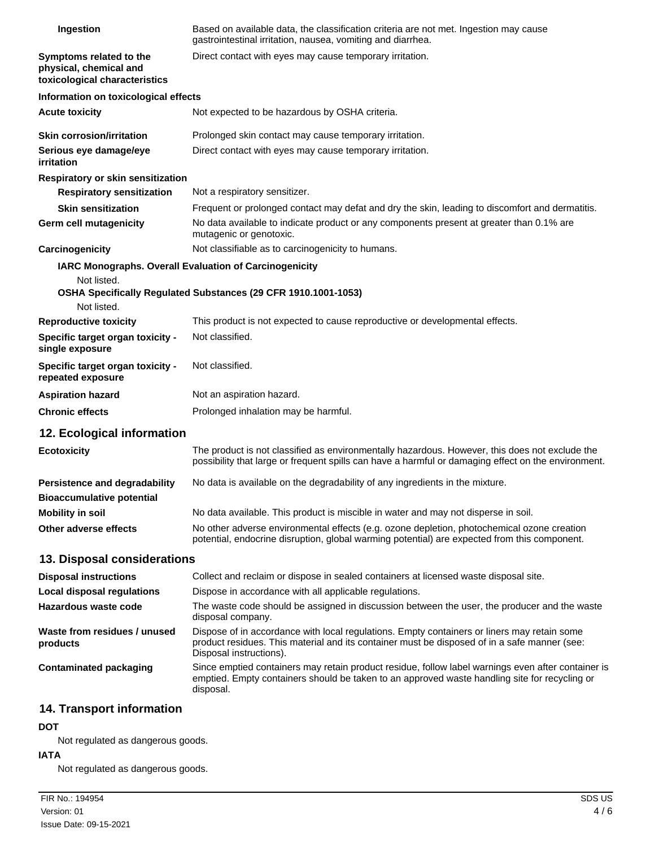| Ingestion                                                                          | Based on available data, the classification criteria are not met. Ingestion may cause<br>gastrointestinal irritation, nausea, vomiting and diarrhea.                                                                   |
|------------------------------------------------------------------------------------|------------------------------------------------------------------------------------------------------------------------------------------------------------------------------------------------------------------------|
| Symptoms related to the<br>physical, chemical and<br>toxicological characteristics | Direct contact with eyes may cause temporary irritation.                                                                                                                                                               |
| Information on toxicological effects                                               |                                                                                                                                                                                                                        |
| <b>Acute toxicity</b>                                                              | Not expected to be hazardous by OSHA criteria.                                                                                                                                                                         |
| <b>Skin corrosion/irritation</b>                                                   | Prolonged skin contact may cause temporary irritation.                                                                                                                                                                 |
| Serious eye damage/eye<br>irritation                                               | Direct contact with eyes may cause temporary irritation.                                                                                                                                                               |
| Respiratory or skin sensitization                                                  |                                                                                                                                                                                                                        |
| <b>Respiratory sensitization</b>                                                   | Not a respiratory sensitizer.                                                                                                                                                                                          |
| <b>Skin sensitization</b>                                                          | Frequent or prolonged contact may defat and dry the skin, leading to discomfort and dermatitis.                                                                                                                        |
| <b>Germ cell mutagenicity</b>                                                      | No data available to indicate product or any components present at greater than 0.1% are<br>mutagenic or genotoxic.                                                                                                    |
| Carcinogenicity                                                                    | Not classifiable as to carcinogenicity to humans.                                                                                                                                                                      |
| <b>IARC Monographs. Overall Evaluation of Carcinogenicity</b>                      |                                                                                                                                                                                                                        |
| Not listed.<br>Not listed.                                                         | OSHA Specifically Regulated Substances (29 CFR 1910.1001-1053)                                                                                                                                                         |
| <b>Reproductive toxicity</b>                                                       | This product is not expected to cause reproductive or developmental effects.                                                                                                                                           |
| Specific target organ toxicity -<br>single exposure                                | Not classified.                                                                                                                                                                                                        |
| Specific target organ toxicity -<br>repeated exposure                              | Not classified.                                                                                                                                                                                                        |
| <b>Aspiration hazard</b>                                                           | Not an aspiration hazard.                                                                                                                                                                                              |
| <b>Chronic effects</b>                                                             | Prolonged inhalation may be harmful.                                                                                                                                                                                   |
| 12. Ecological information                                                         |                                                                                                                                                                                                                        |
| <b>Ecotoxicity</b>                                                                 | The product is not classified as environmentally hazardous. However, this does not exclude the<br>possibility that large or frequent spills can have a harmful or damaging effect on the environment.                  |
| <b>Persistence and degradability</b>                                               | No data is available on the degradability of any ingredients in the mixture.                                                                                                                                           |
| <b>Bioaccumulative potential</b>                                                   |                                                                                                                                                                                                                        |
| <b>Mobility in soil</b>                                                            | No data available. This product is miscible in water and may not disperse in soil.                                                                                                                                     |
| Other adverse effects                                                              | No other adverse environmental effects (e.g. ozone depletion, photochemical ozone creation<br>potential, endocrine disruption, global warming potential) are expected from this component.                             |
| 13. Disposal considerations                                                        |                                                                                                                                                                                                                        |
| <b>Disposal instructions</b>                                                       | Collect and reclaim or dispose in sealed containers at licensed waste disposal site.                                                                                                                                   |
| <b>Local disposal regulations</b>                                                  | Dispose in accordance with all applicable regulations.                                                                                                                                                                 |
| Hazardous waste code                                                               | The waste code should be assigned in discussion between the user, the producer and the waste<br>disposal company.                                                                                                      |
| Waste from residues / unused<br>products                                           | Dispose of in accordance with local regulations. Empty containers or liners may retain some<br>product residues. This material and its container must be disposed of in a safe manner (see:<br>Disposal instructions). |
| <b>Contaminated packaging</b>                                                      | Since emptied containers may retain product residue, follow label warnings even after container is<br>emptied. Empty containers should be taken to an approved waste handling site for recycling or<br>disposal.       |
| 14. Transport information                                                          |                                                                                                                                                                                                                        |

## **DOT**

Not regulated as dangerous goods.

## **IATA**

Not regulated as dangerous goods.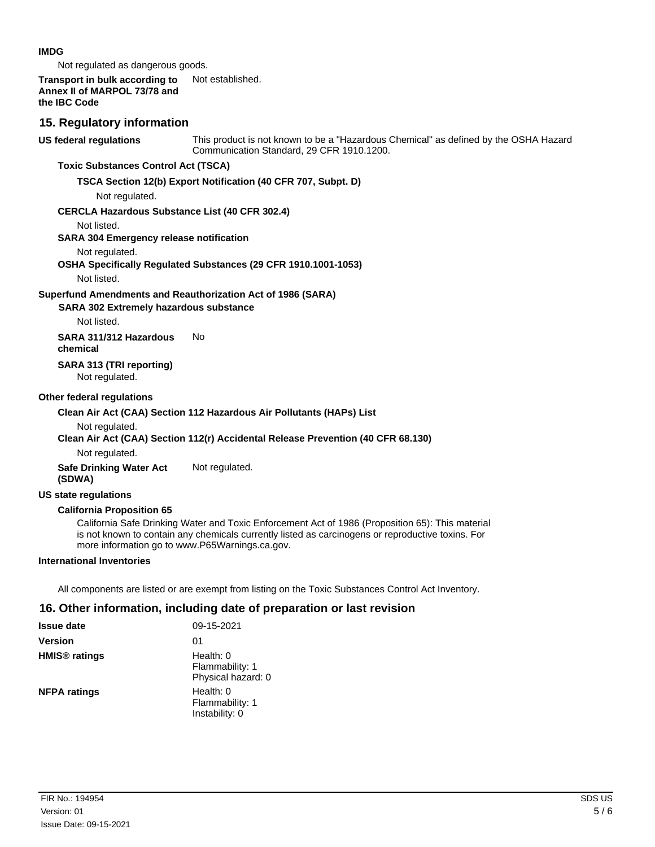#### **IMDG**

Not regulated as dangerous goods.

#### **Transport in bulk according to** Not established. **Annex II of MARPOL 73/78 and the IBC Code**

### **15. Regulatory information**

**US federal regulations**

This product is not known to be a "Hazardous Chemical" as defined by the OSHA Hazard Communication Standard, 29 CFR 1910.1200.

### **Toxic Substances Control Act (TSCA)**

#### **TSCA Section 12(b) Export Notification (40 CFR 707, Subpt. D)**

Not regulated.

#### **CERCLA Hazardous Substance List (40 CFR 302.4)**

Not listed.

#### **SARA 304 Emergency release notification**

Not regulated.

#### **OSHA Specifically Regulated Substances (29 CFR 1910.1001-1053)**

Not listed.

#### **Superfund Amendments and Reauthorization Act of 1986 (SARA)**

#### **SARA 302 Extremely hazardous substance**

Not listed.

**SARA 311/312 Hazardous** No **chemical**

## **SARA 313 (TRI reporting)**

Not regulated.

#### **Other federal regulations**

#### **Clean Air Act (CAA) Section 112 Hazardous Air Pollutants (HAPs) List**

Not regulated.

#### **Clean Air Act (CAA) Section 112(r) Accidental Release Prevention (40 CFR 68.130)**

Not regulated.

**Safe Drinking Water Act** Not regulated. **(SDWA)**

#### **US state regulations**

#### **California Proposition 65**

California Safe Drinking Water and Toxic Enforcement Act of 1986 (Proposition 65): This material is not known to contain any chemicals currently listed as carcinogens or reproductive toxins. For more information go to www.P65Warnings.ca.gov.

#### **International Inventories**

All components are listed or are exempt from listing on the Toxic Substances Control Act Inventory.

### **16. Other information, including date of preparation or last revision**

| <b>Issue date</b>               | 09-15-2021                                           |
|---------------------------------|------------------------------------------------------|
| <b>Version</b>                  | 01                                                   |
| <b>HMIS<sup>®</sup></b> ratings | Health: $0$<br>Flammability: 1<br>Physical hazard: 0 |
| <b>NFPA ratings</b>             | Health: $0$<br>Flammability: 1<br>Instability: 0     |